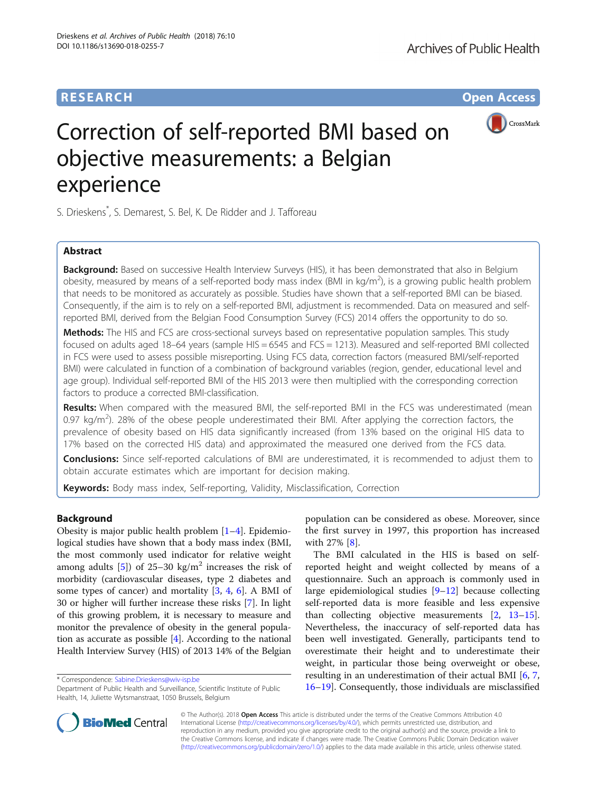# **RESEARCH CHE Open Access**



# Correction of self-reported BMI based on objective measurements: a Belgian experience

S. Drieskens\* , S. Demarest, S. Bel, K. De Ridder and J. Tafforeau

# Abstract

**Background:** Based on successive Health Interview Surveys (HIS), it has been demonstrated that also in Belgium obesity, measured by means of a self-reported body mass index (BMI in kg/m<sup>2</sup>), is a growing public health problem that needs to be monitored as accurately as possible. Studies have shown that a self-reported BMI can be biased. Consequently, if the aim is to rely on a self-reported BMI, adjustment is recommended. Data on measured and selfreported BMI, derived from the Belgian Food Consumption Survey (FCS) 2014 offers the opportunity to do so.

Methods: The HIS and FCS are cross-sectional surveys based on representative population samples. This study focused on adults aged 18–64 years (sample HIS = 6545 and FCS = 1213). Measured and self-reported BMI collected in FCS were used to assess possible misreporting. Using FCS data, correction factors (measured BMI/self-reported BMI) were calculated in function of a combination of background variables (region, gender, educational level and age group). Individual self-reported BMI of the HIS 2013 were then multiplied with the corresponding correction factors to produce a corrected BMI-classification.

Results: When compared with the measured BMI, the self-reported BMI in the FCS was underestimated (mean 0.97 kg/m<sup>2</sup>). 28% of the obese people underestimated their BMI. After applying the correction factors, the prevalence of obesity based on HIS data significantly increased (from 13% based on the original HIS data to 17% based on the corrected HIS data) and approximated the measured one derived from the FCS data.

Conclusions: Since self-reported calculations of BMI are underestimated, it is recommended to adjust them to obtain accurate estimates which are important for decision making.

Keywords: Body mass index, Self-reporting, Validity, Misclassification, Correction

# Background

Obesity is major public health problem  $[1-4]$  $[1-4]$  $[1-4]$ . Epidemiological studies have shown that a body mass index (BMI, the most commonly used indicator for relative weight among adults [\[5](#page-7-0)]) of 25–30 kg/m<sup>2</sup> increases the risk of morbidity (cardiovascular diseases, type 2 diabetes and some types of cancer) and mortality [[3,](#page-7-0) [4](#page-7-0), [6](#page-7-0)]. A BMI of 30 or higher will further increase these risks [[7\]](#page-7-0). In light of this growing problem, it is necessary to measure and monitor the prevalence of obesity in the general population as accurate as possible [\[4\]](#page-7-0). According to the national Health Interview Survey (HIS) of 2013 14% of the Belgian

population can be considered as obese. Moreover, since the first survey in 1997, this proportion has increased with 27% [[8](#page-7-0)].

The BMI calculated in the HIS is based on selfreported height and weight collected by means of a questionnaire. Such an approach is commonly used in large epidemiological studies [[9](#page-7-0)–[12\]](#page-7-0) because collecting self-reported data is more feasible and less expensive than collecting objective measurements [[2,](#page-7-0) [13](#page-7-0)–[15](#page-7-0)]. Nevertheless, the inaccuracy of self-reported data has been well investigated. Generally, participants tend to overestimate their height and to underestimate their weight, in particular those being overweight or obese, resulting in an underestimation of their actual BMI [\[6](#page-7-0), [7](#page-7-0), \* Correspondence: [Sabine.Drieskens@wiv-isp.be](mailto:Sabine.Drieskens@wiv-isp.be)<br>Department of Public Health and Surveillance, Scientific Institute of Public  $16-19$  $16-19$  $16-19$ . Consequently, those individuals are misclassified



© The Author(s). 2018 Open Access This article is distributed under the terms of the Creative Commons Attribution 4.0 International License [\(http://creativecommons.org/licenses/by/4.0/](http://creativecommons.org/licenses/by/4.0/)), which permits unrestricted use, distribution, and reproduction in any medium, provided you give appropriate credit to the original author(s) and the source, provide a link to the Creative Commons license, and indicate if changes were made. The Creative Commons Public Domain Dedication waiver [\(http://creativecommons.org/publicdomain/zero/1.0/](http://creativecommons.org/publicdomain/zero/1.0/)) applies to the data made available in this article, unless otherwise stated.

Department of Public Health and Surveillance, Scientific Institute of Public Health, 14, Juliette Wytsmanstraat, 1050 Brussels, Belgium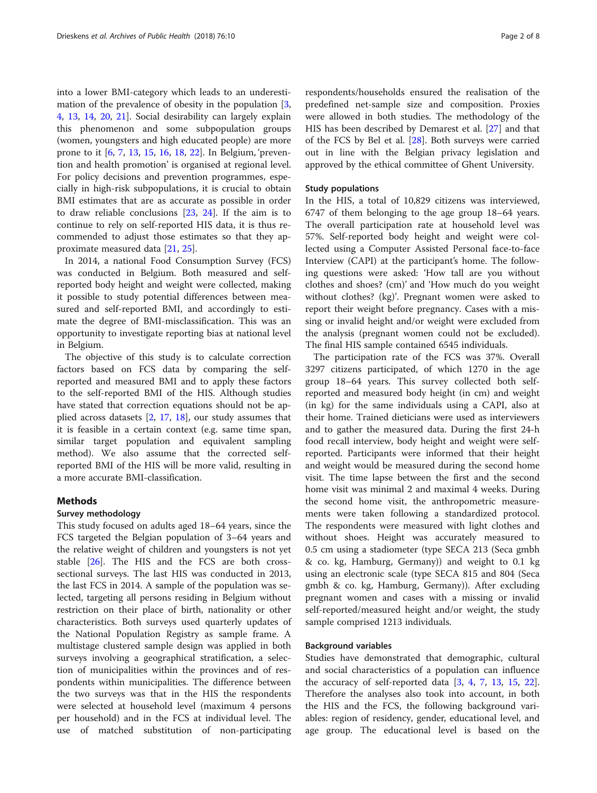into a lower BMI-category which leads to an underestimation of the prevalence of obesity in the population [[3](#page-7-0), [4,](#page-7-0) [13,](#page-7-0) [14,](#page-7-0) [20,](#page-7-0) [21\]](#page-7-0). Social desirability can largely explain this phenomenon and some subpopulation groups (women, youngsters and high educated people) are more prone to it [[6](#page-7-0), [7,](#page-7-0) [13](#page-7-0), [15](#page-7-0), [16,](#page-7-0) [18,](#page-7-0) [22](#page-7-0)]. In Belgium, 'prevention and health promotion' is organised at regional level. For policy decisions and prevention programmes, especially in high-risk subpopulations, it is crucial to obtain BMI estimates that are as accurate as possible in order to draw reliable conclusions [\[23](#page-7-0), [24](#page-7-0)]. If the aim is to continue to rely on self-reported HIS data, it is thus recommended to adjust those estimates so that they approximate measured data [[21,](#page-7-0) [25\]](#page-7-0).

In 2014, a national Food Consumption Survey (FCS) was conducted in Belgium. Both measured and selfreported body height and weight were collected, making it possible to study potential differences between measured and self-reported BMI, and accordingly to estimate the degree of BMI-misclassification. This was an opportunity to investigate reporting bias at national level in Belgium.

The objective of this study is to calculate correction factors based on FCS data by comparing the selfreported and measured BMI and to apply these factors to the self-reported BMI of the HIS. Although studies have stated that correction equations should not be applied across datasets  $[2, 17, 18]$  $[2, 17, 18]$  $[2, 17, 18]$  $[2, 17, 18]$  $[2, 17, 18]$  $[2, 17, 18]$ , our study assumes that it is feasible in a certain context (e.g. same time span, similar target population and equivalent sampling method). We also assume that the corrected selfreported BMI of the HIS will be more valid, resulting in a more accurate BMI-classification.

## Methods

# Survey methodology

This study focused on adults aged 18–64 years, since the FCS targeted the Belgian population of 3–64 years and the relative weight of children and youngsters is not yet stable [[26\]](#page-7-0). The HIS and the FCS are both crosssectional surveys. The last HIS was conducted in 2013, the last FCS in 2014. A sample of the population was selected, targeting all persons residing in Belgium without restriction on their place of birth, nationality or other characteristics. Both surveys used quarterly updates of the National Population Registry as sample frame. A multistage clustered sample design was applied in both surveys involving a geographical stratification, a selection of municipalities within the provinces and of respondents within municipalities. The difference between the two surveys was that in the HIS the respondents were selected at household level (maximum 4 persons per household) and in the FCS at individual level. The use of matched substitution of non-participating

respondents/households ensured the realisation of the predefined net-sample size and composition. Proxies were allowed in both studies. The methodology of the HIS has been described by Demarest et al. [[27\]](#page-7-0) and that of the FCS by Bel et al. [[28\]](#page-7-0). Both surveys were carried out in line with the Belgian privacy legislation and approved by the ethical committee of Ghent University.

## Study populations

In the HIS, a total of 10,829 citizens was interviewed, 6747 of them belonging to the age group 18–64 years. The overall participation rate at household level was 57%. Self-reported body height and weight were collected using a Computer Assisted Personal face-to-face Interview (CAPI) at the participant's home. The following questions were asked: 'How tall are you without clothes and shoes? (cm)' and 'How much do you weight without clothes? (kg)'. Pregnant women were asked to report their weight before pregnancy. Cases with a missing or invalid height and/or weight were excluded from the analysis (pregnant women could not be excluded). The final HIS sample contained 6545 individuals.

The participation rate of the FCS was 37%. Overall 3297 citizens participated, of which 1270 in the age group 18–64 years. This survey collected both selfreported and measured body height (in cm) and weight (in kg) for the same individuals using a CAPI, also at their home. Trained dieticians were used as interviewers and to gather the measured data. During the first 24-h food recall interview, body height and weight were selfreported. Participants were informed that their height and weight would be measured during the second home visit. The time lapse between the first and the second home visit was minimal 2 and maximal 4 weeks. During the second home visit, the anthropometric measurements were taken following a standardized protocol. The respondents were measured with light clothes and without shoes. Height was accurately measured to 0.5 cm using a stadiometer (type SECA 213 (Seca gmbh & co. kg, Hamburg, Germany)) and weight to 0.1 kg using an electronic scale (type SECA 815 and 804 (Seca gmbh & co. kg, Hamburg, Germany)). After excluding pregnant women and cases with a missing or invalid self-reported/measured height and/or weight, the study sample comprised 1213 individuals.

## Background variables

Studies have demonstrated that demographic, cultural and social characteristics of a population can influence the accuracy of self-reported data [[3,](#page-7-0) [4](#page-7-0), [7,](#page-7-0) [13](#page-7-0), [15,](#page-7-0) [22](#page-7-0)]. Therefore the analyses also took into account, in both the HIS and the FCS, the following background variables: region of residency, gender, educational level, and age group. The educational level is based on the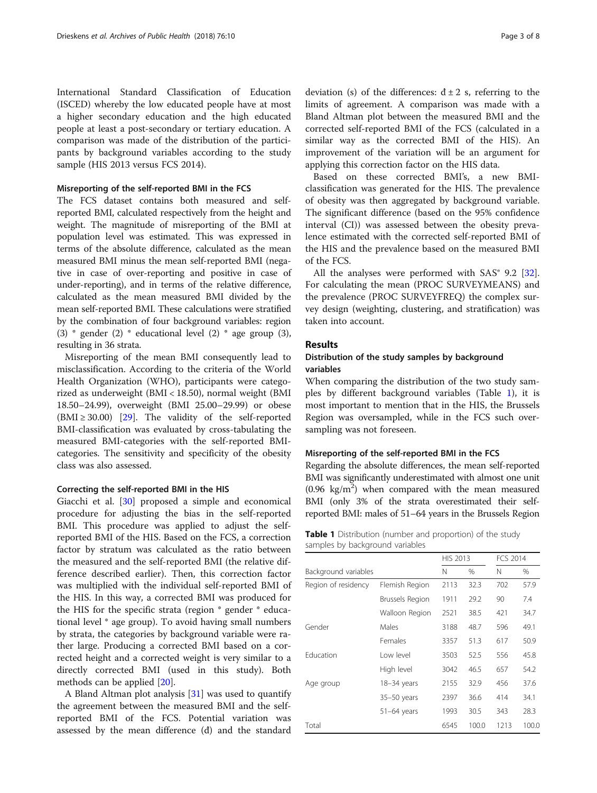International Standard Classification of Education (ISCED) whereby the low educated people have at most a higher secondary education and the high educated people at least a post-secondary or tertiary education. A comparison was made of the distribution of the participants by background variables according to the study sample (HIS 2013 versus FCS 2014).

### Misreporting of the self-reported BMI in the FCS

The FCS dataset contains both measured and selfreported BMI, calculated respectively from the height and weight. The magnitude of misreporting of the BMI at population level was estimated. This was expressed in terms of the absolute difference, calculated as the mean measured BMI minus the mean self-reported BMI (negative in case of over-reporting and positive in case of under-reporting), and in terms of the relative difference, calculated as the mean measured BMI divided by the mean self-reported BMI. These calculations were stratified by the combination of four background variables: region (3)  $*$  gender (2)  $*$  educational level (2)  $*$  age group (3), resulting in 36 strata.

Misreporting of the mean BMI consequently lead to misclassification. According to the criteria of the World Health Organization (WHO), participants were categorized as underweight (BMI < 18.50), normal weight (BMI 18.50–24.99), overweight (BMI 25.00–29.99) or obese  $(BMI \ge 30.00)$  [\[29](#page-7-0)]. The validity of the self-reported BMI-classification was evaluated by cross-tabulating the measured BMI-categories with the self-reported BMIcategories. The sensitivity and specificity of the obesity class was also assessed.

#### Correcting the self-reported BMI in the HIS

Giacchi et al. [\[30](#page-7-0)] proposed a simple and economical procedure for adjusting the bias in the self-reported BMI. This procedure was applied to adjust the selfreported BMI of the HIS. Based on the FCS, a correction factor by stratum was calculated as the ratio between the measured and the self-reported BMI (the relative difference described earlier). Then, this correction factor was multiplied with the individual self-reported BMI of the HIS. In this way, a corrected BMI was produced for the HIS for the specific strata (region \* gender \* educational level \* age group). To avoid having small numbers by strata, the categories by background variable were rather large. Producing a corrected BMI based on a corrected height and a corrected weight is very similar to a directly corrected BMI (used in this study). Both methods can be applied [\[20\]](#page-7-0).

A Bland Altman plot analysis [[31](#page-7-0)] was used to quantify the agreement between the measured BMI and the selfreported BMI of the FCS. Potential variation was assessed by the mean difference (đ) and the standard

deviation (s) of the differences:  $d \pm 2$  s, referring to the limits of agreement. A comparison was made with a Bland Altman plot between the measured BMI and the corrected self-reported BMI of the FCS (calculated in a similar way as the corrected BMI of the HIS). An improvement of the variation will be an argument for applying this correction factor on the HIS data.

Based on these corrected BMI's, a new BMIclassification was generated for the HIS. The prevalence of obesity was then aggregated by background variable. The significant difference (based on the 95% confidence interval (CI)) was assessed between the obesity prevalence estimated with the corrected self-reported BMI of the HIS and the prevalence based on the measured BMI of the FCS.

All the analyses were performed with  $SAS°$  9.2 [\[32](#page-7-0)]. For calculating the mean (PROC SURVEYMEANS) and the prevalence (PROC SURVEYFREQ) the complex survey design (weighting, clustering, and stratification) was taken into account.

# Results

# Distribution of the study samples by background variables

When comparing the distribution of the two study samples by different background variables (Table 1), it is most important to mention that in the HIS, the Brussels Region was oversampled, while in the FCS such oversampling was not foreseen.

#### Misreporting of the self-reported BMI in the FCS

Regarding the absolute differences, the mean self-reported BMI was significantly underestimated with almost one unit  $(0.96 \text{ kg/m}^2)$  when compared with the mean measured BMI (only 3% of the strata overestimated their selfreported BMI: males of 51–64 years in the Brussels Region

| <b>Table 1</b> Distribution (number and proportion) of the study |  |  |
|------------------------------------------------------------------|--|--|
| samples by background variables                                  |  |  |

|                      |                        | <b>HIS 2013</b> |       | <b>FCS 2014</b> |       |
|----------------------|------------------------|-----------------|-------|-----------------|-------|
| Background variables |                        | Ν               | $\%$  | N               | %     |
| Region of residency  | Flemish Region         | 2113            | 32.3  | 702             | 57.9  |
|                      | <b>Brussels Region</b> | 1911            | 29.2  | 90              | 7.4   |
|                      | Walloon Region         | 2521            | 38.5  | 421             | 34.7  |
| Gender               | Males                  | 3188            | 48.7  | 596             | 49.1  |
|                      | Females                | 3357            | 51.3  | 617             | 50.9  |
| Fducation            | I ow level             | 3503            | 52.5  | 556             | 45.8  |
|                      | High level             | 3042            | 46.5  | 657             | 54.2  |
| Age group            | 18-34 years            | 2155            | 32.9  | 456             | 37.6  |
|                      | 35-50 years            | 2397            | 36.6  | 414             | 34.1  |
|                      | $51-64$ years          | 1993            | 30.5  | 343             | 28.3  |
| Total                |                        | 6545            | 100.0 | 1213            | 100.0 |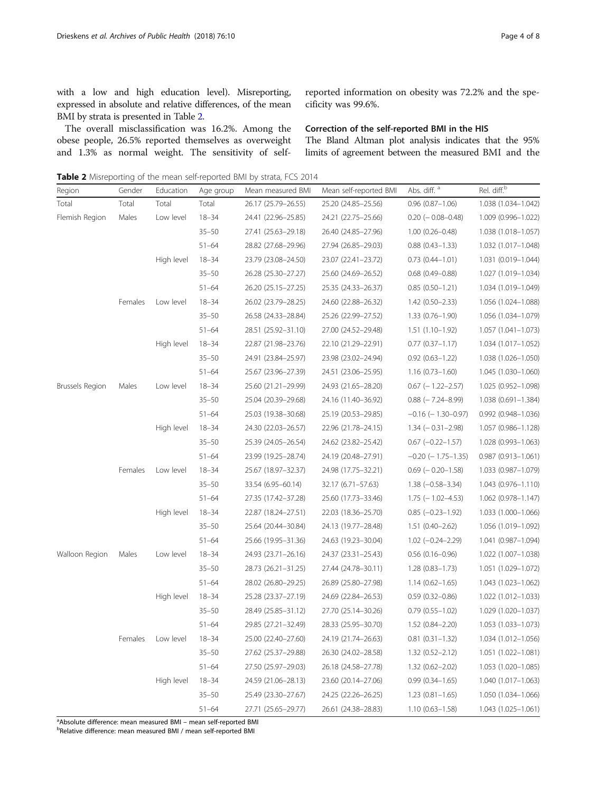with a low and high education level). Misreporting, expressed in absolute and relative differences, of the mean BMI by strata is presented in Table 2.

The overall misclassification was 16.2%. Among the obese people, 26.5% reported themselves as overweight and 1.3% as normal weight. The sensitivity of selfreported information on obesity was 72.2% and the specificity was 99.6%.

## Correction of the self-reported BMI in the HIS

The Bland Altman plot analysis indicates that the 95% limits of agreement between the measured BMI and the

Table 2 Misreporting of the mean self-reported BMI by strata, FCS 2014

| Region          | Gender  | Education  | Age group | Mean measured BMI   | Mean self-reported BMI | Abs. diff. <sup>a</sup>   | Rel. diff. <sup>b</sup> |
|-----------------|---------|------------|-----------|---------------------|------------------------|---------------------------|-------------------------|
| Total           | Total   | Total      | Total     | 26.17 (25.79-26.55) | 25.20 (24.85-25.56)    | $0.96(0.87 - 1.06)$       | 1.038 (1.034-1.042)     |
| Flemish Region  | Males   | Low level  | $18 - 34$ | 24.41 (22.96-25.85) | 24.21 (22.75–25.66)    | $0.20$ ( $-0.08 - 0.48$ ) | 1.009 (0.996-1.022)     |
|                 |         |            | $35 - 50$ | 27.41 (25.63-29.18) | 26.40 (24.85-27.96)    | $1.00(0.26 - 0.48)$       | 1.038 (1.018-1.057)     |
|                 |         |            | $51 - 64$ | 28.82 (27.68-29.96) | 27.94 (26.85-29.03)    | $0.88(0.43 - 1.33)$       | 1.032 (1.017-1.048)     |
|                 |         | High level | $18 - 34$ | 23.79 (23.08-24.50) | 23.07 (22.41-23.72)    | $0.73(0.44 - 1.01)$       | 1.031 (0.019-1.044)     |
|                 |         |            | $35 - 50$ | 26.28 (25.30-27.27) | 25.60 (24.69-26.52)    | $0.68$ $(0.49 - 0.88)$    | 1.027 (1.019-1.034)     |
|                 |         |            | $51 - 64$ | 26.20 (25.15-27.25) | 25.35 (24.33-26.37)    | $0.85(0.50-1.21)$         | 1.034 (1.019-1.049)     |
|                 | Females | Low level  | $18 - 34$ | 26.02 (23.79-28.25) | 24.60 (22.88-26.32)    | $1.42(0.50 - 2.33)$       | 1.056 (1.024-1.088)     |
|                 |         |            | $35 - 50$ | 26.58 (24.33-28.84) | 25.26 (22.99-27.52)    | $1.33(0.76 - 1.90)$       | 1.056 (1.034-1.079)     |
|                 |         |            | $51 - 64$ | 28.51 (25.92-31.10) | 27.00 (24.52-29.48)    | $1.51(1.10-1.92)$         | 1.057 (1.041-1.073)     |
|                 |         | High level | $18 - 34$ | 22.87 (21.98-23.76) | 22.10 (21.29-22.91)    | $0.77(0.37 - 1.17)$       | 1.034 (1.017-1.052)     |
|                 |         |            | $35 - 50$ | 24.91 (23.84-25.97) | 23.98 (23.02-24.94)    | $0.92(0.63 - 1.22)$       | 1.038 (1.026-1.050)     |
|                 |         |            | $51 - 64$ | 25.67 (23.96-27.39) | 24.51 (23.06-25.95)    | $1.16(0.73 - 1.60)$       | 1.045 (1.030-1.060)     |
| Brussels Region | Males   | Low level  | $18 - 34$ | 25.60 (21.21-29.99) | 24.93 (21.65-28.20)    | $0.67$ (-1.22-2.57)       | 1.025 (0.952-1.098)     |
|                 |         |            | $35 - 50$ | 25.04 (20.39-29.68) | 24.16 (11.40-36.92)    | $0.88$ ( $-7.24 - 8.99$ ) | 1.038 (0.691-1.384)     |
|                 |         |            | $51 - 64$ | 25.03 (19.38-30.68) | 25.19 (20.53-29.85)    | $-0.16$ ( $-1.30-0.97$ )  | 0.992 (0.948-1.036)     |
|                 |         | High level | $18 - 34$ | 24.30 (22.03-26.57) | 22.96 (21.78-24.15)    | $1.34 (-0.31 - 2.98)$     | 1.057 (0.986-1.128)     |
|                 |         |            | $35 - 50$ | 25.39 (24.05-26.54) | 24.62 (23.82-25.42)    | $0.67$ (-0.22-1.57)       | 1.028 (0.993-1.063)     |
|                 |         |            | $51 - 64$ | 23.99 (19.25-28.74) | 24.19 (20.48-27.91)    | $-0.20$ ( $-1.75-1.35$ )  | $0.987(0.913 - 1.061)$  |
|                 | Females | Low level  | $18 - 34$ | 25.67 (18.97-32.37) | 24.98 (17.75-32.21)    | $0.69$ ( $-0.20 - 1.58$ ) | 1.033 (0.987-1.079)     |
|                 |         |            | $35 - 50$ | 33.54 (6.95-60.14)  | 32.17 (6.71-57.63)     | $1.38 (-0.58 - 3.34)$     | 1.043 (0.976-1.110)     |
|                 |         |            | $51 - 64$ | 27.35 (17.42-37.28) | 25.60 (17.73-33.46)    | $1.75$ ( $-1.02 - 4.53$ ) | 1.062 (0.978-1.147)     |
|                 |         | High level | $18 - 34$ | 22.87 (18.24-27.51) | 22.03 (18.36-25.70)    | $0.85$ ( $-0.23 - 1.92$ ) | 1.033 (1.000-1.066)     |
|                 |         |            | $35 - 50$ | 25.64 (20.44-30.84) | 24.13 (19.77-28.48)    | $1.51(0.40 - 2.62)$       | 1.056 (1.019-1.092)     |
|                 |         |            | $51 - 64$ | 25.66 (19.95-31.36) | 24.63 (19.23-30.04)    | $1.02$ (-0.24-2.29)       | 1.041 (0.987-1.094)     |
| Walloon Region  | Males   | Low level  | $18 - 34$ | 24.93 (23.71-26.16) | 24.37 (23.31–25.43)    | $0.56(0.16-0.96)$         | 1.022 (1.007-1.038)     |
|                 |         |            | $35 - 50$ | 28.73 (26.21-31.25) | 27.44 (24.78-30.11)    | $1.28(0.83 - 1.73)$       | 1.051 (1.029-1.072)     |
|                 |         |            | $51 - 64$ | 28.02 (26.80-29.25) | 26.89 (25.80-27.98)    | $1.14(0.62 - 1.65)$       | 1.043 (1.023-1.062)     |
|                 |         | High level | $18 - 34$ | 25.28 (23.37-27.19) | 24.69 (22.84-26.53)    | $0.59(0.32 - 0.86)$       | 1.022 (1.012-1.033)     |
|                 |         |            | $35 - 50$ | 28.49 (25.85-31.12) | 27.70 (25.14-30.26)    | $0.79(0.55 - 1.02)$       | 1.029 (1.020-1.037)     |
|                 |         |            | $51 - 64$ | 29.85 (27.21-32.49) | 28.33 (25.95-30.70)    | 1.52 (0.84-2.20)          | 1.053 (1.033-1.073)     |
|                 | Females | Low level  | $18 - 34$ | 25.00 (22.40-27.60) | 24.19 (21.74–26.63)    | $0.81(0.31-1.32)$         | 1.034 (1.012-1.056)     |
|                 |         |            | $35 - 50$ | 27.62 (25.37-29.88) | 26.30 (24.02-28.58)    | $1.32(0.52 - 2.12)$       | 1.051 (1.022-1.081)     |
|                 |         |            | $51 - 64$ | 27.50 (25.97-29.03) | 26.18 (24.58–27.78)    | $1.32(0.62 - 2.02)$       | 1.053 (1.020-1.085)     |
|                 |         | High level | $18 - 34$ | 24.59 (21.06-28.13) | 23.60 (20.14-27.06)    | $0.99(0.34 - 1.65)$       | 1.040 (1.017-1.063)     |
|                 |         |            | $35 - 50$ | 25.49 (23.30-27.67) | 24.25 (22.26-26.25)    | $1.23(0.81 - 1.65)$       | 1.050 (1.034-1.066)     |
|                 |         |            | $51 - 64$ | 27.71 (25.65-29.77) | 26.61 (24.38-28.83)    | $1.10(0.63 - 1.58)$       | 1.043 (1.025-1.061)     |

<sup>a</sup> Absolute difference: mean measured BMI – mean self-reported BMI<br><sup>b</sup> Pelative difference: mean measured BMI / mean self-reported BMI

Relative difference: mean measured BMI / mean self-reported BMI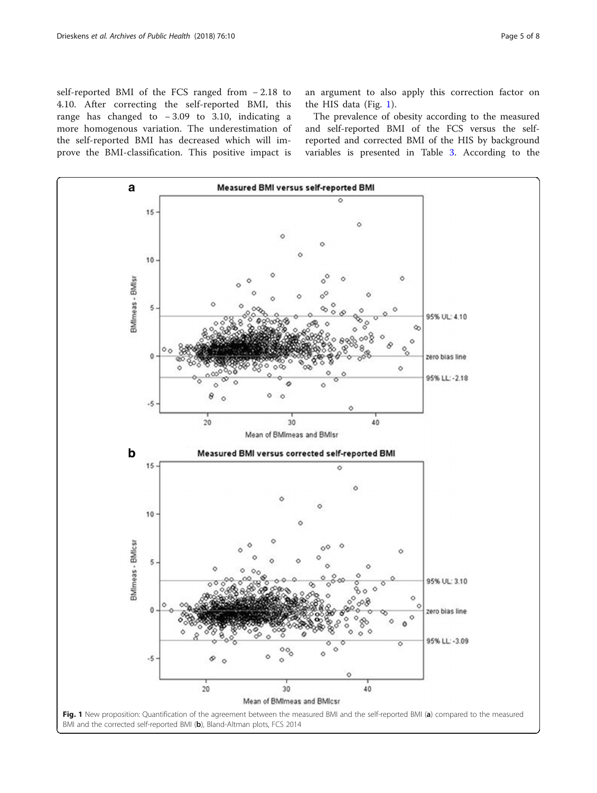self-reported BMI of the FCS ranged from − 2.18 to 4.10. After correcting the self-reported BMI, this range has changed to − 3.09 to 3.10, indicating a more homogenous variation. The underestimation of the self-reported BMI has decreased which will improve the BMI-classification. This positive impact is an argument to also apply this correction factor on the HIS data (Fig. 1).

The prevalence of obesity according to the measured and self-reported BMI of the FCS versus the selfreported and corrected BMI of the HIS by background variables is presented in Table [3](#page-5-0). According to the

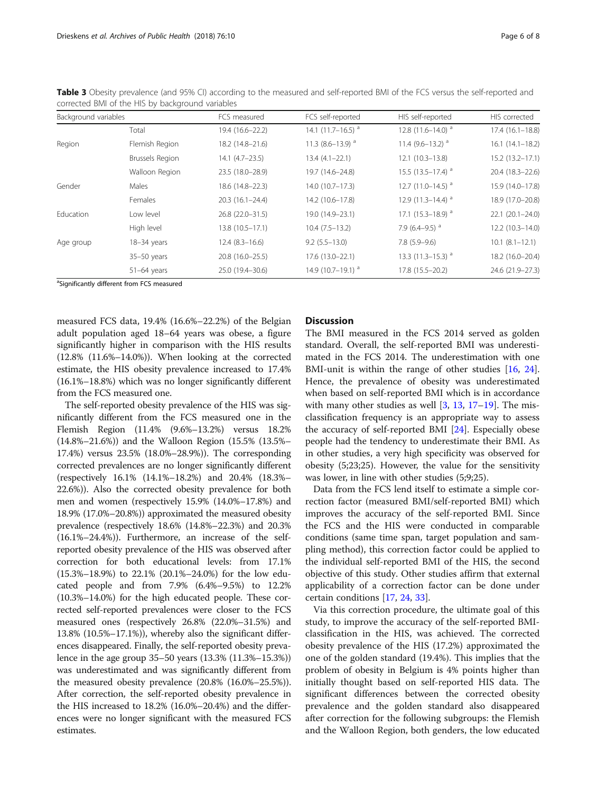| Corrected bivil of the HIS by Dackground Variables |                        |                     |                                  |                                   |                     |  |
|----------------------------------------------------|------------------------|---------------------|----------------------------------|-----------------------------------|---------------------|--|
| Background variables                               |                        | FCS measured        | FCS self-reported                | HIS self-reported                 | HIS corrected       |  |
|                                                    | Total                  | 19.4 (16.6-22.2)    | 14.1 $(11.7-16.5)$ <sup>a</sup>  | 12.8 $(11.6 - 14.0)$ <sup>a</sup> | 17.4 (16.1-18.8)    |  |
| Region                                             | Flemish Region         | 18.2 (14.8-21.6)    | 11.3 $(8.6 - 13.9)$ <sup>a</sup> | 11.4 $(9.6 - 13.2)$ <sup>a</sup>  | $16.1(14.1 - 18.2)$ |  |
|                                                    | <b>Brussels Region</b> | $14.1 (4.7 - 23.5)$ | $13.4(4.1 - 22.1)$               | $12.1(10.3-13.8)$                 | 15.2 (13.2-17.1)    |  |
|                                                    | Walloon Region         | 23.5 (18.0-28.9)    | 19.7 (14.6-24.8)                 | 15.5 $(13.5 - 17.4)$ <sup>a</sup> | 20.4 (18.3-22.6)    |  |
| Gender                                             | Males                  | 18.6 (14.8-22.3)    | $14.0(10.7-17.3)$                | 12.7 $(11.0-14.5)$ <sup>a</sup>   | 15.9 (14.0-17.8)    |  |
|                                                    | Females                | $20.3(16.1 - 24.4)$ | 14.2 (10.6-17.8)                 | 12.9 $(11.3-14.4)$ <sup>a</sup>   | 18.9 (17.0-20.8)    |  |
| Education                                          | Low level              | 26.8 (22.0-31.5)    | 19.0 (14.9-23.1)                 | 17.1 $(15.3 - 18.9)$ <sup>a</sup> | 22.1 (20.1-24.0)    |  |
|                                                    | High level             | 13.8 (10.5-17.1)    | $10.4(7.5-13.2)$                 | 7.9 (6.4–9.5) $^a$                | 12.2 (10.3-14.0)    |  |
| Age group                                          | 18-34 years            | $12.4(8.3-16.6)$    | $9.2(5.5 - 13.0)$                | $7.8(5.9-9.6)$                    | $10.1 (8.1 - 12.1)$ |  |
|                                                    | $35-50$ years          | 20.8 (16.0-25.5)    | $17.6(13.0 - 22.1)$              | 13.3 $(11.3 - 15.3)$ <sup>a</sup> | 18.2 (16.0-20.4)    |  |
|                                                    | $51-64$ years          | 25.0 (19.4-30.6)    | 14.9 (10.7-19.1) <sup>a</sup>    | 17.8 (15.5-20.2)                  | 24.6 (21.9-27.3)    |  |

<span id="page-5-0"></span>Table 3 Obesity prevalence (and 95% CI) according to the measured and self-reported BMI of the FCS versus the self-reported and corrected BMI of the HIS by background variables

<sup>a</sup>Significantly different from FCS measured

measured FCS data, 19.4% (16.6%–22.2%) of the Belgian adult population aged 18–64 years was obese, a figure significantly higher in comparison with the HIS results (12.8% (11.6%–14.0%)). When looking at the corrected estimate, the HIS obesity prevalence increased to 17.4% (16.1%–18.8%) which was no longer significantly different from the FCS measured one.

The self-reported obesity prevalence of the HIS was significantly different from the FCS measured one in the Flemish Region (11.4% (9.6%–13.2%) versus 18.2% (14.8%–21.6%)) and the Walloon Region (15.5% (13.5%– 17.4%) versus 23.5% (18.0%–28.9%)). The corresponding corrected prevalences are no longer significantly different (respectively 16.1% (14.1%–18.2%) and 20.4% (18.3%– 22.6%)). Also the corrected obesity prevalence for both men and women (respectively 15.9% (14.0%–17.8%) and 18.9% (17.0%–20.8%)) approximated the measured obesity prevalence (respectively 18.6% (14.8%–22.3%) and 20.3% (16.1%–24.4%)). Furthermore, an increase of the selfreported obesity prevalence of the HIS was observed after correction for both educational levels: from 17.1% (15.3%–18.9%) to 22.1% (20.1%–24.0%) for the low educated people and from 7.9% (6.4%–9.5%) to 12.2% (10.3%–14.0%) for the high educated people. These corrected self-reported prevalences were closer to the FCS measured ones (respectively 26.8% (22.0%–31.5%) and 13.8% (10.5%–17.1%)), whereby also the significant differences disappeared. Finally, the self-reported obesity prevalence in the age group 35–50 years (13.3% (11.3%–15.3%)) was underestimated and was significantly different from the measured obesity prevalence (20.8% (16.0%–25.5%)). After correction, the self-reported obesity prevalence in the HIS increased to 18.2% (16.0%–20.4%) and the differences were no longer significant with the measured FCS estimates.

# **Discussion**

The BMI measured in the FCS 2014 served as golden standard. Overall, the self-reported BMI was underestimated in the FCS 2014. The underestimation with one BMI-unit is within the range of other studies [\[16,](#page-7-0) [24](#page-7-0)]. Hence, the prevalence of obesity was underestimated when based on self-reported BMI which is in accordance with many other studies as well  $[3, 13, 17-19]$  $[3, 13, 17-19]$  $[3, 13, 17-19]$  $[3, 13, 17-19]$  $[3, 13, 17-19]$  $[3, 13, 17-19]$  $[3, 13, 17-19]$  $[3, 13, 17-19]$ . The misclassification frequency is an appropriate way to assess the accuracy of self-reported BMI [\[24](#page-7-0)]. Especially obese people had the tendency to underestimate their BMI. As in other studies, a very high specificity was observed for obesity (5;23;25). However, the value for the sensitivity was lower, in line with other studies (5;9;25).

Data from the FCS lend itself to estimate a simple correction factor (measured BMI/self-reported BMI) which improves the accuracy of the self-reported BMI. Since the FCS and the HIS were conducted in comparable conditions (same time span, target population and sampling method), this correction factor could be applied to the individual self-reported BMI of the HIS, the second objective of this study. Other studies affirm that external applicability of a correction factor can be done under certain conditions [[17](#page-7-0), [24](#page-7-0), [33](#page-7-0)].

Via this correction procedure, the ultimate goal of this study, to improve the accuracy of the self-reported BMIclassification in the HIS, was achieved. The corrected obesity prevalence of the HIS (17.2%) approximated the one of the golden standard (19.4%). This implies that the problem of obesity in Belgium is 4% points higher than initially thought based on self-reported HIS data. The significant differences between the corrected obesity prevalence and the golden standard also disappeared after correction for the following subgroups: the Flemish and the Walloon Region, both genders, the low educated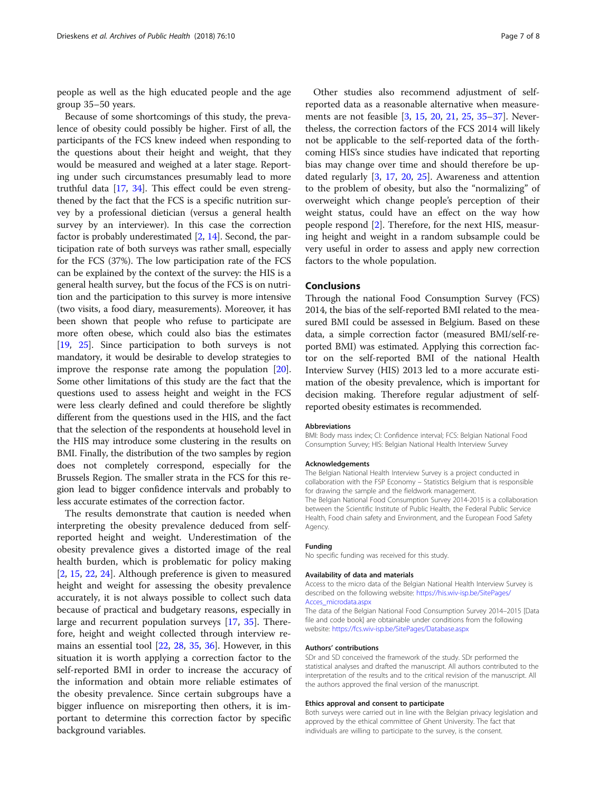people as well as the high educated people and the age group 35–50 years.

Because of some shortcomings of this study, the prevalence of obesity could possibly be higher. First of all, the participants of the FCS knew indeed when responding to the questions about their height and weight, that they would be measured and weighed at a later stage. Reporting under such circumstances presumably lead to more truthful data [\[17,](#page-7-0) [34\]](#page-7-0). This effect could be even strengthened by the fact that the FCS is a specific nutrition survey by a professional dietician (versus a general health survey by an interviewer). In this case the correction factor is probably underestimated  $[2, 14]$  $[2, 14]$  $[2, 14]$ . Second, the participation rate of both surveys was rather small, especially for the FCS (37%). The low participation rate of the FCS can be explained by the context of the survey: the HIS is a general health survey, but the focus of the FCS is on nutrition and the participation to this survey is more intensive (two visits, a food diary, measurements). Moreover, it has been shown that people who refuse to participate are more often obese, which could also bias the estimates [[19](#page-7-0), [25](#page-7-0)]. Since participation to both surveys is not mandatory, it would be desirable to develop strategies to improve the response rate among the population  $[20]$  $[20]$  $[20]$ . Some other limitations of this study are the fact that the questions used to assess height and weight in the FCS were less clearly defined and could therefore be slightly different from the questions used in the HIS, and the fact that the selection of the respondents at household level in the HIS may introduce some clustering in the results on BMI. Finally, the distribution of the two samples by region does not completely correspond, especially for the Brussels Region. The smaller strata in the FCS for this region lead to bigger confidence intervals and probably to less accurate estimates of the correction factor.

The results demonstrate that caution is needed when interpreting the obesity prevalence deduced from selfreported height and weight. Underestimation of the obesity prevalence gives a distorted image of the real health burden, which is problematic for policy making [[2,](#page-7-0) [15,](#page-7-0) [22,](#page-7-0) [24\]](#page-7-0). Although preference is given to measured height and weight for assessing the obesity prevalence accurately, it is not always possible to collect such data because of practical and budgetary reasons, especially in large and recurrent population surveys [\[17](#page-7-0), [35](#page-7-0)]. Therefore, height and weight collected through interview remains an essential tool [\[22,](#page-7-0) [28](#page-7-0), [35,](#page-7-0) [36](#page-7-0)]. However, in this situation it is worth applying a correction factor to the self-reported BMI in order to increase the accuracy of the information and obtain more reliable estimates of the obesity prevalence. Since certain subgroups have a bigger influence on misreporting then others, it is important to determine this correction factor by specific background variables.

Other studies also recommend adjustment of selfreported data as a reasonable alternative when measurements are not feasible [[3](#page-7-0), [15,](#page-7-0) [20](#page-7-0), [21](#page-7-0), [25](#page-7-0), [35](#page-7-0)–[37\]](#page-7-0). Nevertheless, the correction factors of the FCS 2014 will likely not be applicable to the self-reported data of the forthcoming HIS's since studies have indicated that reporting bias may change over time and should therefore be updated regularly [[3,](#page-7-0) [17](#page-7-0), [20](#page-7-0), [25](#page-7-0)]. Awareness and attention to the problem of obesity, but also the "normalizing" of overweight which change people's perception of their weight status, could have an effect on the way how people respond [[2\]](#page-7-0). Therefore, for the next HIS, measuring height and weight in a random subsample could be very useful in order to assess and apply new correction factors to the whole population.

## Conclusions

Through the national Food Consumption Survey (FCS) 2014, the bias of the self-reported BMI related to the measured BMI could be assessed in Belgium. Based on these data, a simple correction factor (measured BMI/self-reported BMI) was estimated. Applying this correction factor on the self-reported BMI of the national Health Interview Survey (HIS) 2013 led to a more accurate estimation of the obesity prevalence, which is important for decision making. Therefore regular adjustment of selfreported obesity estimates is recommended.

#### Abbreviations

BMI: Body mass index; CI: Confidence interval; FCS: Belgian National Food Consumption Survey; HIS: Belgian National Health Interview Survey

#### Acknowledgements

The Belgian National Health Interview Survey is a project conducted in collaboration with the FSP Economy – Statistics Belgium that is responsible for drawing the sample and the fieldwork management. The Belgian National Food Consumption Survey 2014-2015 is a collaboration between the Scientific Institute of Public Health, the Federal Public Service Health, Food chain safety and Environment, and the European Food Safety Agency.

#### Funding

No specific funding was received for this study.

#### Availability of data and materials

Access to the micro data of the Belgian National Health Interview Survey is described on the following website: [https://his.wiv-isp.be/SitePages/](https://his.wiv-isp.be/SitePages/Acces_microdata.aspx) [Acces\\_microdata.aspx](https://his.wiv-isp.be/SitePages/Acces_microdata.aspx)

The data of the Belgian National Food Consumption Survey 2014–2015 [Data file and code book] are obtainable under conditions from the following website: <https://fcs.wiv-isp.be/SitePages/Database.aspx>

#### Authors' contributions

SDr and SD conceived the framework of the study. SDr performed the statistical analyses and drafted the manuscript. All authors contributed to the interpretation of the results and to the critical revision of the manuscript. All the authors approved the final version of the manuscript.

#### Ethics approval and consent to participate

Both surveys were carried out in line with the Belgian privacy legislation and approved by the ethical committee of Ghent University. The fact that individuals are willing to participate to the survey, is the consent.